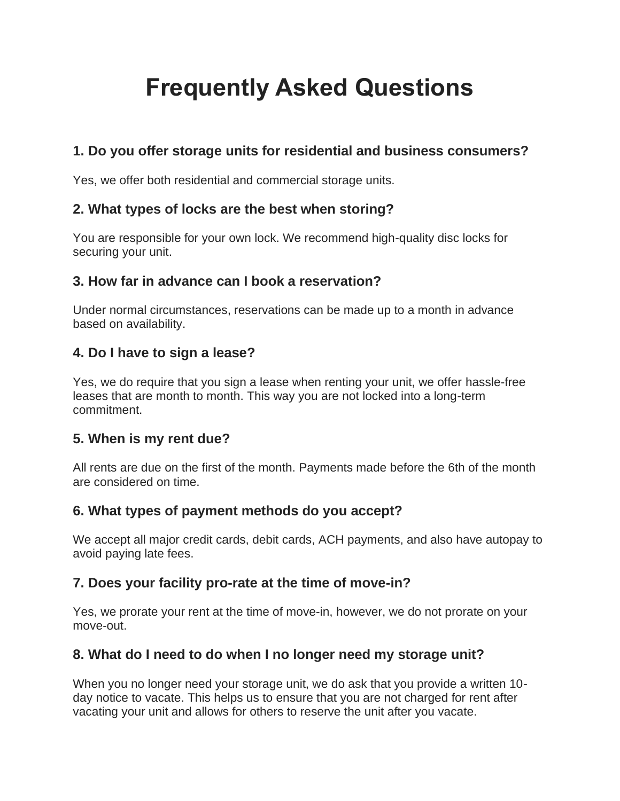# **Frequently Asked Questions**

# **1. Do you offer storage units for residential and business consumers?**

Yes, we offer both residential and commercial storage units.

#### **2. What types of locks are the best when storing?**

You are responsible for your own lock. We recommend high-quality disc locks for securing your unit.

#### **3. How far in advance can I book a reservation?**

Under normal circumstances, reservations can be made up to a month in advance based on availability.

#### **4. Do I have to sign a lease?**

Yes, we do require that you sign a lease when renting your unit, we offer hassle-free leases that are month to month. This way you are not locked into a long-term commitment.

## **5. When is my rent due?**

All rents are due on the first of the month. Payments made before the 6th of the month are considered on time.

## **6. What types of payment methods do you accept?**

We accept all major credit cards, debit cards, ACH payments, and also have autopay to avoid paying late fees.

## **7. Does your facility pro-rate at the time of move-in?**

Yes, we prorate your rent at the time of move-in, however, we do not prorate on your move-out.

## **8. What do I need to do when I no longer need my storage unit?**

When you no longer need your storage unit, we do ask that you provide a written 10 day notice to vacate. This helps us to ensure that you are not charged for rent after vacating your unit and allows for others to reserve the unit after you vacate.